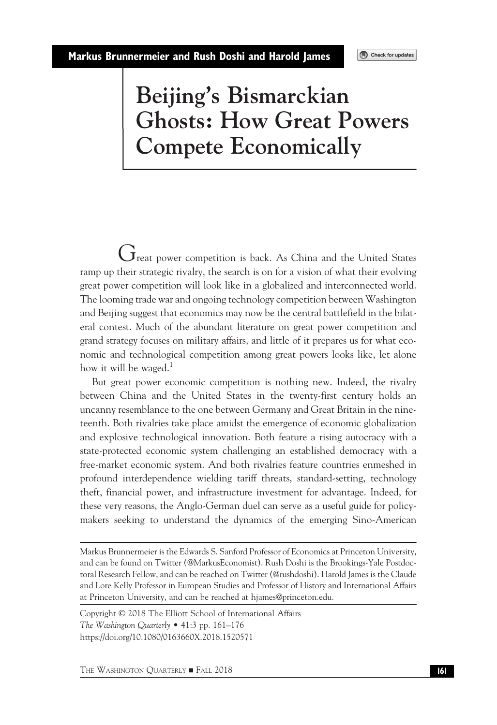Check for updates

# Beijing's Bismarckian Ghosts: How Great Powers Compete Economically

 $G$ reat power competition is back. As China and the United States ramp up their strategic rivalry, the search is on for a vision of what their evolving great power competition will look like in a globalized and interconnected world. The looming trade war and ongoing technology competition between Washington and Beijing suggest that economics may now be the central battlefield in the bilateral contest. Much of the abundant literature on great power competition and grand strategy focuses on military affairs, and little of it prepares us for what economic and technological competition among great powers looks like, let alone how it will be waged.<sup>1</sup>

But great power economic competition is nothing new. Indeed, the rivalry between China and the United States in the twenty-first century holds an uncanny resemblance to the one between Germany and Great Britain in the nineteenth. Both rivalries take place amidst the emergence of economic globalization and explosive technological innovation. Both feature a rising autocracy with a state-protected economic system challenging an established democracy with a free-market economic system. And both rivalries feature countries enmeshed in profound interdependence wielding tariff threats, standard-setting, technology theft, financial power, and infrastructure investment for advantage. Indeed, for these very reasons, the Anglo-German duel can serve as a useful guide for policymakers seeking to understand the dynamics of the emerging Sino-American

Copyright © 2018 The Elliott School of International Affairs The Washington Quarterly • 41:3 pp. 161–176 https://doi.org/10.1080/0163660X.2018.1520571

Markus Brunnermeier is the Edwards S. Sanford Professor of Economics at Princeton University, and can be found on Twitter (@MarkusEconomist). Rush Doshi is the Brookings-Yale Postdoctoral Research Fellow, and can be reached on Twitter (@rushdoshi). Harold James is the Claude and Lore Kelly Professor in European Studies and Professor of History and International Affairs at Princeton University, and can be reached at hjames@princeton.edu.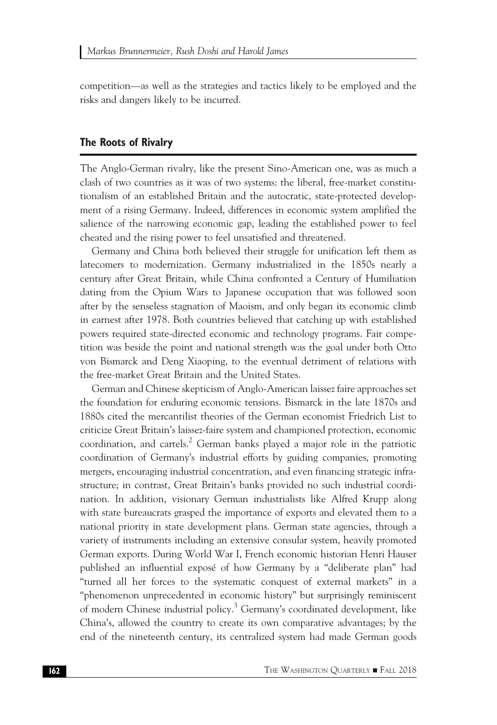competition—as well as the strategies and tactics likely to be employed and the risks and dangers likely to be incurred.

## The Roots of Rivalry

The Anglo-German rivalry, like the present Sino-American one, was as much a clash of two countries as it was of two systems: the liberal, free-market constitutionalism of an established Britain and the autocratic, state-protected development of a rising Germany. Indeed, differences in economic system amplified the salience of the narrowing economic gap, leading the established power to feel cheated and the rising power to feel unsatisfied and threatened.

Germany and China both believed their struggle for unification left them as latecomers to modernization. Germany industrialized in the 1850s nearly a century after Great Britain, while China confronted a Century of Humiliation dating from the Opium Wars to Japanese occupation that was followed soon after by the senseless stagnation of Maoism, and only began its economic climb in earnest after 1978. Both countries believed that catching up with established powers required state-directed economic and technology programs. Fair competition was beside the point and national strength was the goal under both Otto von Bismarck and Deng Xiaoping, to the eventual detriment of relations with the free-market Great Britain and the United States.

German and Chinese skepticism of Anglo-American laissez faire approaches set the foundation for enduring economic tensions. Bismarck in the late 1870s and 1880s cited the mercantilist theories of the German economist Friedrich List to criticize Great Britain's laissez-faire system and championed protection, economic coordination, and cartels.<sup>2</sup> German banks played a major role in the patriotic coordination of Germany's industrial efforts by guiding companies, promoting mergers, encouraging industrial concentration, and even financing strategic infrastructure; in contrast, Great Britain's banks provided no such industrial coordination. In addition, visionary German industrialists like Alfred Krupp along with state bureaucrats grasped the importance of exports and elevated them to a national priority in state development plans. German state agencies, through a variety of instruments including an extensive consular system, heavily promoted German exports. During World War I, French economic historian Henri Hauser published an influential exposé of how Germany by a "deliberate plan" had "turned all her forces to the systematic conquest of external markets" in a "phenomenon unprecedented in economic history" but surprisingly reminiscent of modern Chinese industrial policy.<sup>3</sup> Germany's coordinated development, like China's, allowed the country to create its own comparative advantages; by the end of the nineteenth century, its centralized system had made German goods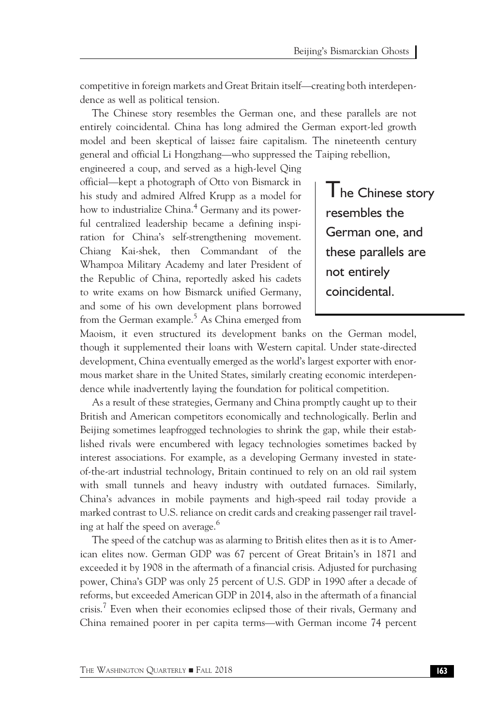competitive in foreign markets and Great Britain itself—creating both interdependence as well as political tension.

The Chinese story resembles the German one, and these parallels are not entirely coincidental. China has long admired the German export-led growth model and been skeptical of laissez faire capitalism. The nineteenth century general and official Li Hongzhang—who suppressed the Taiping rebellion,

engineered a coup, and served as a high-level Qing official—kept a photograph of Otto von Bismarck in his study and admired Alfred Krupp as a model for how to industrialize China.<sup>4</sup> Germany and its powerful centralized leadership became a defining inspiration for China's self-strengthening movement. Chiang Kai-shek, then Commandant of the Whampoa Military Academy and later President of the Republic of China, reportedly asked his cadets to write exams on how Bismarck unified Germany, and some of his own development plans borrowed from the German example.<sup>5</sup> As China emerged from

The Chinese story resembles the German one, and these parallels are not entirely coincidental.

Maoism, it even structured its development banks on the German model, though it supplemented their loans with Western capital. Under state-directed development, China eventually emerged as the world's largest exporter with enormous market share in the United States, similarly creating economic interdependence while inadvertently laying the foundation for political competition.

As a result of these strategies, Germany and China promptly caught up to their British and American competitors economically and technologically. Berlin and Beijing sometimes leapfrogged technologies to shrink the gap, while their established rivals were encumbered with legacy technologies sometimes backed by interest associations. For example, as a developing Germany invested in stateof-the-art industrial technology, Britain continued to rely on an old rail system with small tunnels and heavy industry with outdated furnaces. Similarly, China's advances in mobile payments and high-speed rail today provide a marked contrast to U.S. reliance on credit cards and creaking passenger rail traveling at half the speed on average.<sup>6</sup>

The speed of the catchup was as alarming to British elites then as it is to American elites now. German GDP was 67 percent of Great Britain's in 1871 and exceeded it by 1908 in the aftermath of a financial crisis. Adjusted for purchasing power, China's GDP was only 25 percent of U.S. GDP in 1990 after a decade of reforms, but exceeded American GDP in 2014, also in the aftermath of a financial crisis.<sup>7</sup> Even when their economies eclipsed those of their rivals, Germany and China remained poorer in per capita terms—with German income 74 percent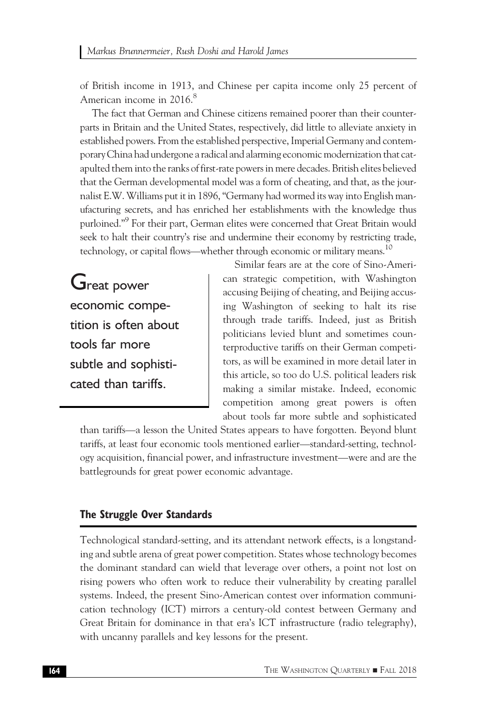of British income in 1913, and Chinese per capita income only 25 percent of American income in 2016.<sup>8</sup>

The fact that German and Chinese citizens remained poorer than their counterparts in Britain and the United States, respectively, did little to alleviate anxiety in established powers. From the established perspective, Imperial Germany and contemporary China had undergone a radical and alarming economic modernization that catapulted them into the ranks of first-rate powers in mere decades. British elites believed that the German developmental model was a form of cheating, and that, as the journalist E.W. Williams put it in 1896,"Germany had wormed its way into English manufacturing secrets, and has enriched her establishments with the knowledge thus purloined." <sup>9</sup> For their part, German elites were concerned that Great Britain would seek to halt their country's rise and undermine their economy by restricting trade, technology, or capital flows—whether through economic or military means.<sup>10</sup>

**G**reat power economic competition is often about tools far more subtle and sophisticated than tariffs.

Similar fears are at the core of Sino-American strategic competition, with Washington accusing Beijing of cheating, and Beijing accusing Washington of seeking to halt its rise through trade tariffs. Indeed, just as British politicians levied blunt and sometimes counterproductive tariffs on their German competitors, as will be examined in more detail later in this article, so too do U.S. political leaders risk making a similar mistake. Indeed, economic competition among great powers is often about tools far more subtle and sophisticated

than tariffs—a lesson the United States appears to have forgotten. Beyond blunt tariffs, at least four economic tools mentioned earlier—standard-setting, technology acquisition, financial power, and infrastructure investment—were and are the battlegrounds for great power economic advantage.

# The Struggle Over Standards

Technological standard-setting, and its attendant network effects, is a longstanding and subtle arena of great power competition. States whose technology becomes the dominant standard can wield that leverage over others, a point not lost on rising powers who often work to reduce their vulnerability by creating parallel systems. Indeed, the present Sino-American contest over information communication technology (ICT) mirrors a century-old contest between Germany and Great Britain for dominance in that era's ICT infrastructure (radio telegraphy), with uncanny parallels and key lessons for the present.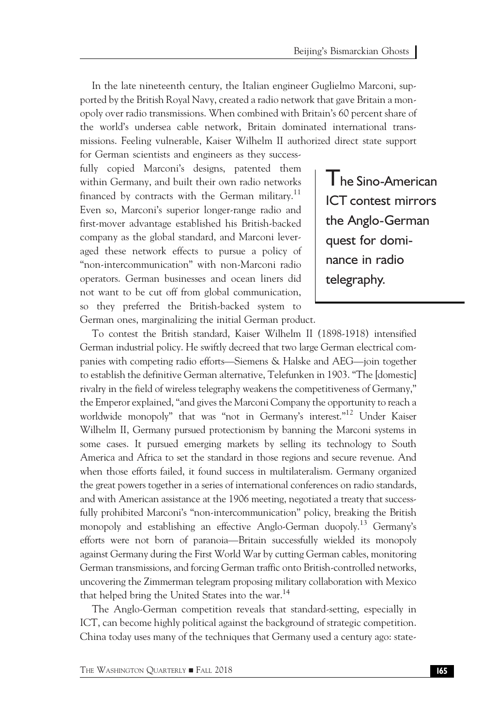In the late nineteenth century, the Italian engineer Guglielmo Marconi, supported by the British Royal Navy, created a radio network that gave Britain a monopoly over radio transmissions. When combined with Britain's 60 percent share of the world's undersea cable network, Britain dominated international transmissions. Feeling vulnerable, Kaiser Wilhelm II authorized direct state support

for German scientists and engineers as they successfully copied Marconi's designs, patented them within Germany, and built their own radio networks financed by contracts with the German military.<sup>11</sup> Even so, Marconi's superior longer-range radio and first-mover advantage established his British-backed company as the global standard, and Marconi leveraged these network effects to pursue a policy of "non-intercommunication" with non-Marconi radio operators. German businesses and ocean liners did not want to be cut off from global communication, so they preferred the British-backed system to German ones, marginalizing the initial German product.

**I** he Sino-American ICT contest mirrors the Anglo-German quest for dominance in radio telegraphy.

To contest the British standard, Kaiser Wilhelm II (1898-1918) intensified German industrial policy. He swiftly decreed that two large German electrical companies with competing radio efforts—Siemens & Halske and AEG—join together to establish the definitive German alternative, Telefunken in 1903. "The [domestic] rivalry in the field of wireless telegraphy weakens the competitiveness of Germany," the Emperor explained, "and gives the Marconi Company the opportunity to reach a worldwide monopoly" that was "not in Germany's interest." <sup>12</sup> Under Kaiser Wilhelm II, Germany pursued protectionism by banning the Marconi systems in some cases. It pursued emerging markets by selling its technology to South America and Africa to set the standard in those regions and secure revenue. And when those efforts failed, it found success in multilateralism. Germany organized the great powers together in a series of international conferences on radio standards, and with American assistance at the 1906 meeting, negotiated a treaty that successfully prohibited Marconi's "non-intercommunication" policy, breaking the British monopoly and establishing an effective Anglo-German duopoly.<sup>13</sup> Germany's efforts were not born of paranoia—Britain successfully wielded its monopoly against Germany during the First World War by cutting German cables, monitoring German transmissions, and forcing German traffic onto British-controlled networks, uncovering the Zimmerman telegram proposing military collaboration with Mexico that helped bring the United States into the war.<sup>14</sup>

The Anglo-German competition reveals that standard-setting, especially in ICT, can become highly political against the background of strategic competition. China today uses many of the techniques that Germany used a century ago: state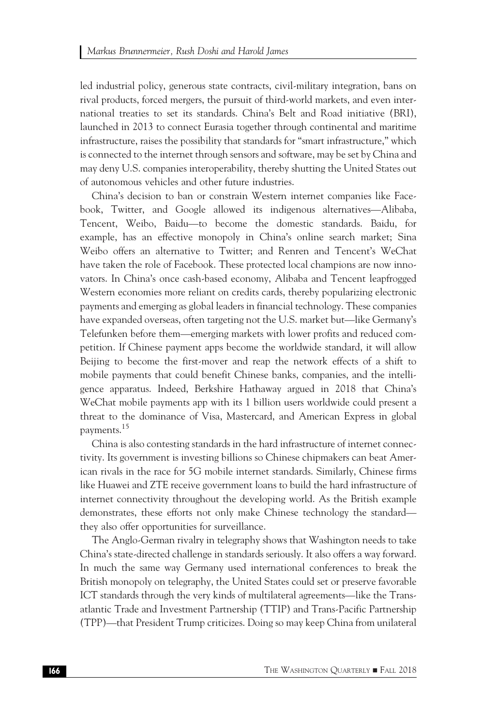led industrial policy, generous state contracts, civil-military integration, bans on rival products, forced mergers, the pursuit of third-world markets, and even international treaties to set its standards. China's Belt and Road initiative (BRI), launched in 2013 to connect Eurasia together through continental and maritime infrastructure, raises the possibility that standards for "smart infrastructure," which is connected to the internet through sensors and software, may be set by China and may deny U.S. companies interoperability, thereby shutting the United States out of autonomous vehicles and other future industries.

China's decision to ban or constrain Western internet companies like Facebook, Twitter, and Google allowed its indigenous alternatives—Alibaba, Tencent, Weibo, Baidu—to become the domestic standards. Baidu, for example, has an effective monopoly in China's online search market; Sina Weibo offers an alternative to Twitter; and Renren and Tencent's WeChat have taken the role of Facebook. These protected local champions are now innovators. In China's once cash-based economy, Alibaba and Tencent leapfrogged Western economies more reliant on credits cards, thereby popularizing electronic payments and emerging as global leaders in financial technology. These companies have expanded overseas, often targeting not the U.S. market but—like Germany's Telefunken before them—emerging markets with lower profits and reduced competition. If Chinese payment apps become the worldwide standard, it will allow Beijing to become the first-mover and reap the network effects of a shift to mobile payments that could benefit Chinese banks, companies, and the intelligence apparatus. Indeed, Berkshire Hathaway argued in 2018 that China's WeChat mobile payments app with its 1 billion users worldwide could present a threat to the dominance of Visa, Mastercard, and American Express in global payments.15

China is also contesting standards in the hard infrastructure of internet connectivity. Its government is investing billions so Chinese chipmakers can beat American rivals in the race for 5G mobile internet standards. Similarly, Chinese firms like Huawei and ZTE receive government loans to build the hard infrastructure of internet connectivity throughout the developing world. As the British example demonstrates, these efforts not only make Chinese technology the standard they also offer opportunities for surveillance.

The Anglo-German rivalry in telegraphy shows that Washington needs to take China's state-directed challenge in standards seriously. It also offers a way forward. In much the same way Germany used international conferences to break the British monopoly on telegraphy, the United States could set or preserve favorable ICT standards through the very kinds of multilateral agreements—like the Transatlantic Trade and Investment Partnership (TTIP) and Trans-Pacific Partnership (TPP)—that President Trump criticizes. Doing so may keep China from unilateral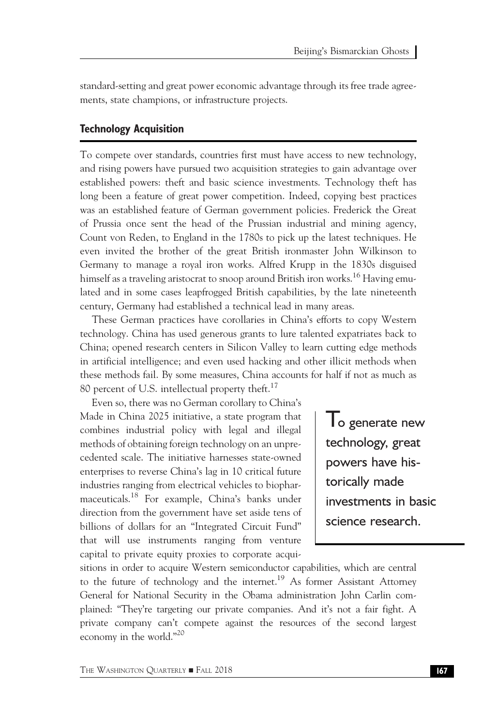standard-setting and great power economic advantage through its free trade agreements, state champions, or infrastructure projects.

# Technology Acquisition

To compete over standards, countries first must have access to new technology, and rising powers have pursued two acquisition strategies to gain advantage over established powers: theft and basic science investments. Technology theft has long been a feature of great power competition. Indeed, copying best practices was an established feature of German government policies. Frederick the Great of Prussia once sent the head of the Prussian industrial and mining agency, Count von Reden, to England in the 1780s to pick up the latest techniques. He even invited the brother of the great British ironmaster John Wilkinson to Germany to manage a royal iron works. Alfred Krupp in the 1830s disguised himself as a traveling aristocrat to snoop around British iron works.<sup>16</sup> Having emulated and in some cases leapfrogged British capabilities, by the late nineteenth century, Germany had established a technical lead in many areas.

These German practices have corollaries in China's efforts to copy Western technology. China has used generous grants to lure talented expatriates back to China; opened research centers in Silicon Valley to learn cutting edge methods in artificial intelligence; and even used hacking and other illicit methods when these methods fail. By some measures, China accounts for half if not as much as 80 percent of U.S. intellectual property theft. $^{17}$ 

Even so, there was no German corollary to China's Made in China 2025 initiative, a state program that combines industrial policy with legal and illegal methods of obtaining foreign technology on an unprecedented scale. The initiative harnesses state-owned enterprises to reverse China's lag in 10 critical future industries ranging from electrical vehicles to biopharmaceuticals.<sup>18</sup> For example, China's banks under direction from the government have set aside tens of billions of dollars for an "Integrated Circuit Fund" that will use instruments ranging from venture capital to private equity proxies to corporate acqui-

**To generate new** technology, great powers have historically made investments in basic science research.

sitions in order to acquire Western semiconductor capabilities, which are central to the future of technology and the internet.<sup>19</sup> As former Assistant Attorney General for National Security in the Obama administration John Carlin complained: "They're targeting our private companies. And it's not a fair fight. A private company can't compete against the resources of the second largest economy in the world."<sup>20</sup>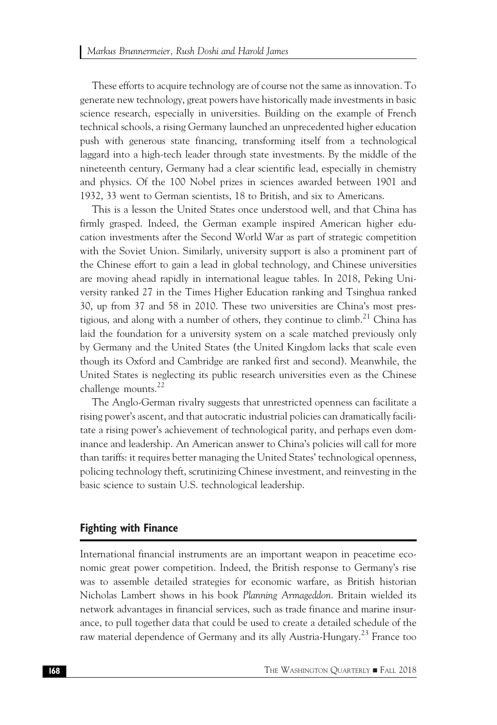These efforts to acquire technology are of course not the same as innovation. To generate new technology, great powers have historically made investments in basic science research, especially in universities. Building on the example of French technical schools, a rising Germany launched an unprecedented higher education push with generous state financing, transforming itself from a technological laggard into a high-tech leader through state investments. By the middle of the nineteenth century, Germany had a clear scientific lead, especially in chemistry and physics. Of the 100 Nobel prizes in sciences awarded between 1901 and 1932, 33 went to German scientists, 18 to British, and six to Americans.

This is a lesson the United States once understood well, and that China has firmly grasped. Indeed, the German example inspired American higher education investments after the Second World War as part of strategic competition with the Soviet Union. Similarly, university support is also a prominent part of the Chinese effort to gain a lead in global technology, and Chinese universities are moving ahead rapidly in international league tables. In 2018, Peking University ranked 27 in the Times Higher Education ranking and Tsinghua ranked 30, up from 37 and 58 in 2010. These two universities are China's most prestigious, and along with a number of others, they continue to climb.<sup>21</sup> China has laid the foundation for a university system on a scale matched previously only by Germany and the United States (the United Kingdom lacks that scale even though its Oxford and Cambridge are ranked first and second). Meanwhile, the United States is neglecting its public research universities even as the Chinese challenge mounts.<sup>22</sup>

The Anglo-German rivalry suggests that unrestricted openness can facilitate a rising power's ascent, and that autocratic industrial policies can dramatically facilitate a rising power's achievement of technological parity, and perhaps even dominance and leadership. An American answer to China's policies will call for more than tariffs: it requires better managing the United States' technological openness, policing technology theft, scrutinizing Chinese investment, and reinvesting in the basic science to sustain U.S. technological leadership.

#### Fighting with Finance

International financial instruments are an important weapon in peacetime economic great power competition. Indeed, the British response to Germany's rise was to assemble detailed strategies for economic warfare, as British historian Nicholas Lambert shows in his book Planning Armageddon. Britain wielded its network advantages in financial services, such as trade finance and marine insurance, to pull together data that could be used to create a detailed schedule of the raw material dependence of Germany and its ally Austria-Hungary.<sup>23</sup> France too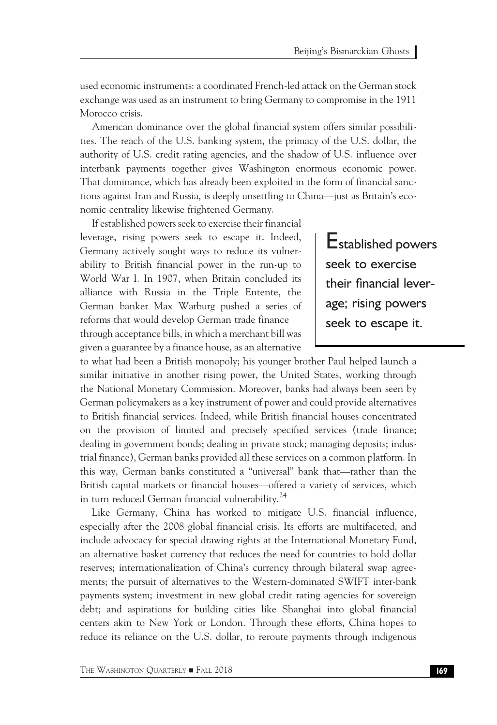used economic instruments: a coordinated French-led attack on the German stock exchange was used as an instrument to bring Germany to compromise in the 1911 Morocco crisis.

American dominance over the global financial system offers similar possibilities. The reach of the U.S. banking system, the primacy of the U.S. dollar, the authority of U.S. credit rating agencies, and the shadow of U.S. influence over interbank payments together gives Washington enormous economic power. That dominance, which has already been exploited in the form of financial sanctions against Iran and Russia, is deeply unsettling to China—just as Britain's economic centrality likewise frightened Germany.

If established powers seek to exercise their financial leverage, rising powers seek to escape it. Indeed, Germany actively sought ways to reduce its vulnerability to British financial power in the run-up to World War I. In 1907, when Britain concluded its alliance with Russia in the Triple Entente, the German banker Max Warburg pushed a series of reforms that would develop German trade finance through acceptance bills, in which a merchant bill was given a guarantee by a finance house, as an alternative

Established powers seek to exercise their financial leverage; rising powers seek to escape it.

to what had been a British monopoly; his younger brother Paul helped launch a similar initiative in another rising power, the United States, working through the National Monetary Commission. Moreover, banks had always been seen by German policymakers as a key instrument of power and could provide alternatives to British financial services. Indeed, while British financial houses concentrated on the provision of limited and precisely specified services (trade finance; dealing in government bonds; dealing in private stock; managing deposits; industrial finance), German banks provided all these services on a common platform. In this way, German banks constituted a "universal" bank that—rather than the British capital markets or financial houses—offered a variety of services, which in turn reduced German financial vulnerability.<sup>24</sup>

Like Germany, China has worked to mitigate U.S. financial influence, especially after the 2008 global financial crisis. Its efforts are multifaceted, and include advocacy for special drawing rights at the International Monetary Fund, an alternative basket currency that reduces the need for countries to hold dollar reserves; internationalization of China's currency through bilateral swap agreements; the pursuit of alternatives to the Western-dominated SWIFT inter-bank payments system; investment in new global credit rating agencies for sovereign debt; and aspirations for building cities like Shanghai into global financial centers akin to New York or London. Through these efforts, China hopes to reduce its reliance on the U.S. dollar, to reroute payments through indigenous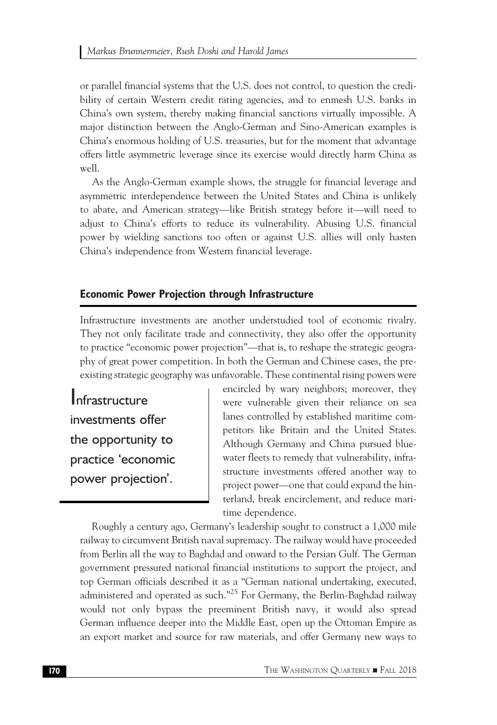or parallel financial systems that the U.S. does not control, to question the credibility of certain Western credit rating agencies, and to enmesh U.S. banks in China's own system, thereby making financial sanctions virtually impossible. A major distinction between the Anglo-German and Sino-American examples is China's enormous holding of U.S. treasuries, but for the moment that advantage offers little asymmetric leverage since its exercise would directly harm China as well.

As the Anglo-German example shows, the struggle for financial leverage and asymmetric interdependence between the United States and China is unlikely to abate, and American strategy—like British strategy before it—will need to adjust to China's efforts to reduce its vulnerability. Abusing U.S. financial power by wielding sanctions too often or against U.S. allies will only hasten China's independence from Western financial leverage.

## Economic Power Projection through Infrastructure

Infrastructure investments are another understudied tool of economic rivalry. They not only facilitate trade and connectivity, they also offer the opportunity to practice "economic power projection"—that is, to reshape the strategic geography of great power competition. In both the German and Chinese cases, the preexisting strategic geography was unfavorable. These continental rising powers were

Infrastructure investments offer the opportunity to practice 'economic power projection'.

encircled by wary neighbors; moreover, they were vulnerable given their reliance on sea lanes controlled by established maritime competitors like Britain and the United States. Although Germany and China pursued bluewater fleets to remedy that vulnerability, infrastructure investments offered another way to project power—one that could expand the hinterland, break encirclement, and reduce maritime dependence.

Roughly a century ago, Germany's leadership sought to construct a 1,000 mile railway to circumvent British naval supremacy. The railway would have proceeded from Berlin all the way to Baghdad and onward to the Persian Gulf. The German government pressured national financial institutions to support the project, and top German officials described it as a "German national undertaking, executed, administered and operated as such."<sup>25</sup> For Germany, the Berlin-Baghdad railway would not only bypass the preeminent British navy, it would also spread German influence deeper into the Middle East, open up the Ottoman Empire as an export market and source for raw materials, and offer Germany new ways to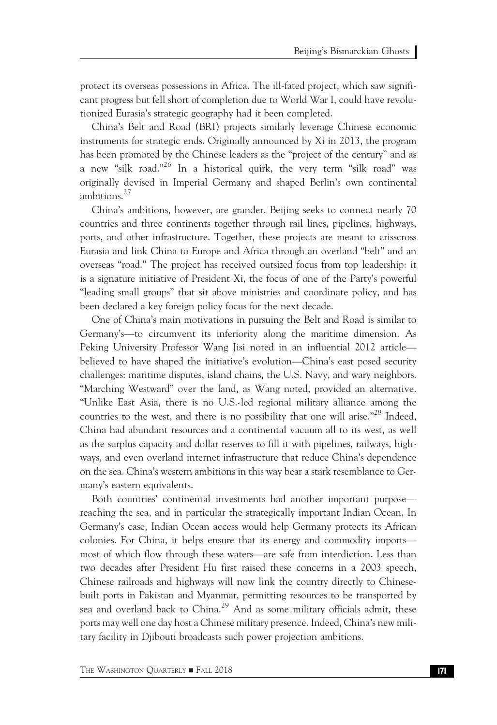protect its overseas possessions in Africa. The ill-fated project, which saw significant progress but fell short of completion due to World War I, could have revolutionized Eurasia's strategic geography had it been completed.

China's Belt and Road (BRI) projects similarly leverage Chinese economic instruments for strategic ends. Originally announced by Xi in 2013, the program has been promoted by the Chinese leaders as the "project of the century" and as a new "silk road." <sup>26</sup> In a historical quirk, the very term "silk road" was originally devised in Imperial Germany and shaped Berlin's own continental ambitions.<sup>27</sup>

China's ambitions, however, are grander. Beijing seeks to connect nearly 70 countries and three continents together through rail lines, pipelines, highways, ports, and other infrastructure. Together, these projects are meant to crisscross Eurasia and link China to Europe and Africa through an overland "belt" and an overseas "road." The project has received outsized focus from top leadership: it is a signature initiative of President Xi, the focus of one of the Party's powerful "leading small groups" that sit above ministries and coordinate policy, and has been declared a key foreign policy focus for the next decade.

One of China's main motivations in pursuing the Belt and Road is similar to Germany's—to circumvent its inferiority along the maritime dimension. As Peking University Professor Wang Jisi noted in an influential 2012 article believed to have shaped the initiative's evolution—China's east posed security challenges: maritime disputes, island chains, the U.S. Navy, and wary neighbors. "Marching Westward" over the land, as Wang noted, provided an alternative. "Unlike East Asia, there is no U.S.-led regional military alliance among the countries to the west, and there is no possibility that one will arise."<sup>28</sup> Indeed, China had abundant resources and a continental vacuum all to its west, as well as the surplus capacity and dollar reserves to fill it with pipelines, railways, highways, and even overland internet infrastructure that reduce China's dependence on the sea. China's western ambitions in this way bear a stark resemblance to Germany's eastern equivalents.

Both countries' continental investments had another important purpose reaching the sea, and in particular the strategically important Indian Ocean. In Germany's case, Indian Ocean access would help Germany protects its African colonies. For China, it helps ensure that its energy and commodity imports most of which flow through these waters—are safe from interdiction. Less than two decades after President Hu first raised these concerns in a 2003 speech, Chinese railroads and highways will now link the country directly to Chinesebuilt ports in Pakistan and Myanmar, permitting resources to be transported by sea and overland back to China.<sup>29</sup> And as some military officials admit, these ports may well one day host a Chinese military presence. Indeed, China's new military facility in Djibouti broadcasts such power projection ambitions.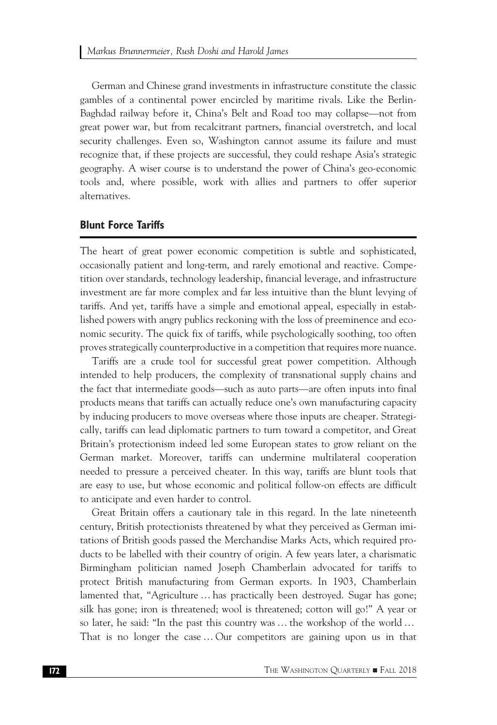German and Chinese grand investments in infrastructure constitute the classic gambles of a continental power encircled by maritime rivals. Like the Berlin-Baghdad railway before it, China's Belt and Road too may collapse—not from great power war, but from recalcitrant partners, financial overstretch, and local security challenges. Even so, Washington cannot assume its failure and must recognize that, if these projects are successful, they could reshape Asia's strategic geography. A wiser course is to understand the power of China's geo-economic tools and, where possible, work with allies and partners to offer superior alternatives.

## Blunt Force Tariffs

The heart of great power economic competition is subtle and sophisticated, occasionally patient and long-term, and rarely emotional and reactive. Competition over standards, technology leadership, financial leverage, and infrastructure investment are far more complex and far less intuitive than the blunt levying of tariffs. And yet, tariffs have a simple and emotional appeal, especially in established powers with angry publics reckoning with the loss of preeminence and economic security. The quick fix of tariffs, while psychologically soothing, too often proves strategically counterproductive in a competition that requires more nuance.

Tariffs are a crude tool for successful great power competition. Although intended to help producers, the complexity of transnational supply chains and the fact that intermediate goods—such as auto parts—are often inputs into final products means that tariffs can actually reduce one's own manufacturing capacity by inducing producers to move overseas where those inputs are cheaper. Strategically, tariffs can lead diplomatic partners to turn toward a competitor, and Great Britain's protectionism indeed led some European states to grow reliant on the German market. Moreover, tariffs can undermine multilateral cooperation needed to pressure a perceived cheater. In this way, tariffs are blunt tools that are easy to use, but whose economic and political follow-on effects are difficult to anticipate and even harder to control.

Great Britain offers a cautionary tale in this regard. In the late nineteenth century, British protectionists threatened by what they perceived as German imitations of British goods passed the Merchandise Marks Acts, which required products to be labelled with their country of origin. A few years later, a charismatic Birmingham politician named Joseph Chamberlain advocated for tariffs to protect British manufacturing from German exports. In 1903, Chamberlain lamented that, "Agriculture … has practically been destroyed. Sugar has gone; silk has gone; iron is threatened; wool is threatened; cotton will go!" A year or so later, he said: "In the past this country was … the workshop of the world … That is no longer the case … Our competitors are gaining upon us in that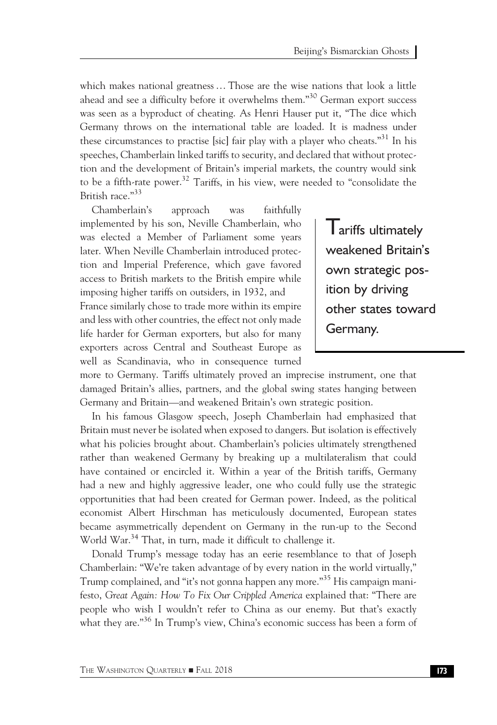which makes national greatness … Those are the wise nations that look a little ahead and see a difficulty before it overwhelms them."<sup>30</sup> German export success was seen as a byproduct of cheating. As Henri Hauser put it, "The dice which Germany throws on the international table are loaded. It is madness under these circumstances to practise [sic] fair play with a player who cheats."<sup>31</sup> In his speeches, Chamberlain linked tariffs to security, and declared that without protection and the development of Britain's imperial markets, the country would sink to be a fifth-rate power.<sup>32</sup> Tariffs, in his view, were needed to "consolidate the British race."33

Chamberlain's approach was faithfully implemented by his son, Neville Chamberlain, who was elected a Member of Parliament some years later. When Neville Chamberlain introduced protection and Imperial Preference, which gave favored access to British markets to the British empire while imposing higher tariffs on outsiders, in 1932, and France similarly chose to trade more within its empire and less with other countries, the effect not only made life harder for German exporters, but also for many exporters across Central and Southeast Europe as well as Scandinavia, who in consequence turned

Tariffs ultimately weakened Britain's own strategic position by driving other states toward Germany.

more to Germany. Tariffs ultimately proved an imprecise instrument, one that damaged Britain's allies, partners, and the global swing states hanging between Germany and Britain—and weakened Britain's own strategic position.

In his famous Glasgow speech, Joseph Chamberlain had emphasized that Britain must never be isolated when exposed to dangers. But isolation is effectively what his policies brought about. Chamberlain's policies ultimately strengthened rather than weakened Germany by breaking up a multilateralism that could have contained or encircled it. Within a year of the British tariffs, Germany had a new and highly aggressive leader, one who could fully use the strategic opportunities that had been created for German power. Indeed, as the political economist Albert Hirschman has meticulously documented, European states became asymmetrically dependent on Germany in the run-up to the Second World War.<sup>34</sup> That, in turn, made it difficult to challenge it.

Donald Trump's message today has an eerie resemblance to that of Joseph Chamberlain: "We're taken advantage of by every nation in the world virtually," Trump complained, and "it's not gonna happen any more." <sup>35</sup> His campaign manifesto, Great Again: How To Fix Our Crippled America explained that: "There are people who wish I wouldn't refer to China as our enemy. But that's exactly what they are."<sup>36</sup> In Trump's view, China's economic success has been a form of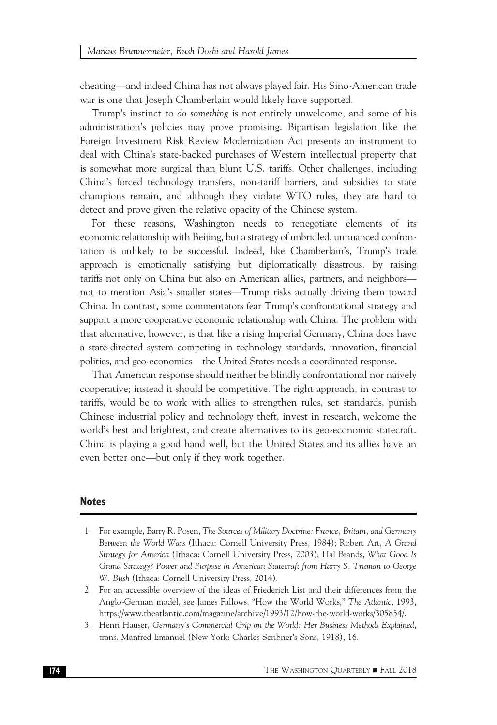cheating—and indeed China has not always played fair. His Sino-American trade war is one that Joseph Chamberlain would likely have supported.

Trump's instinct to do something is not entirely unwelcome, and some of his administration's policies may prove promising. Bipartisan legislation like the Foreign Investment Risk Review Modernization Act presents an instrument to deal with China's state-backed purchases of Western intellectual property that is somewhat more surgical than blunt U.S. tariffs. Other challenges, including China's forced technology transfers, non-tariff barriers, and subsidies to state champions remain, and although they violate WTO rules, they are hard to detect and prove given the relative opacity of the Chinese system.

For these reasons, Washington needs to renegotiate elements of its economic relationship with Beijing, but a strategy of unbridled, unnuanced confrontation is unlikely to be successful. Indeed, like Chamberlain's, Trump's trade approach is emotionally satisfying but diplomatically disastrous. By raising tariffs not only on China but also on American allies, partners, and neighbors not to mention Asia's smaller states—Trump risks actually driving them toward China. In contrast, some commentators fear Trump's confrontational strategy and support a more cooperative economic relationship with China. The problem with that alternative, however, is that like a rising Imperial Germany, China does have a state-directed system competing in technology standards, innovation, financial politics, and geo-economics—the United States needs a coordinated response.

That American response should neither be blindly confrontational nor naively cooperative; instead it should be competitive. The right approach, in contrast to tariffs, would be to work with allies to strengthen rules, set standards, punish Chinese industrial policy and technology theft, invest in research, welcome the world's best and brightest, and create alternatives to its geo-economic statecraft. China is playing a good hand well, but the United States and its allies have an even better one—but only if they work together.

#### **Notes**

- 1. For example, Barry R. Posen, The Sources of Military Doctrine: France, Britain, and Germany Between the World Wars (Ithaca: Cornell University Press, 1984); Robert Art, A Grand Strategy for America (Ithaca: Cornell University Press, 2003); Hal Brands, What Good Is Grand Strategy? Power and Purpose in American Statecraft from Harry S. Truman to George W. Bush (Ithaca: Cornell University Press, 2014).
- 2. For an accessible overview of the ideas of Friederich List and their differences from the Anglo-German model, see James Fallows, "How the World Works," The Atlantic, 1993, https://www.theatlantic.com/magazine/archive/1993/12/how-the-world-works/305854/.
- 3. Henri Hauser, Germany's Commercial Grip on the World: Her Business Methods Explained, trans. Manfred Emanuel (New York: Charles Scribner's Sons, 1918), 16.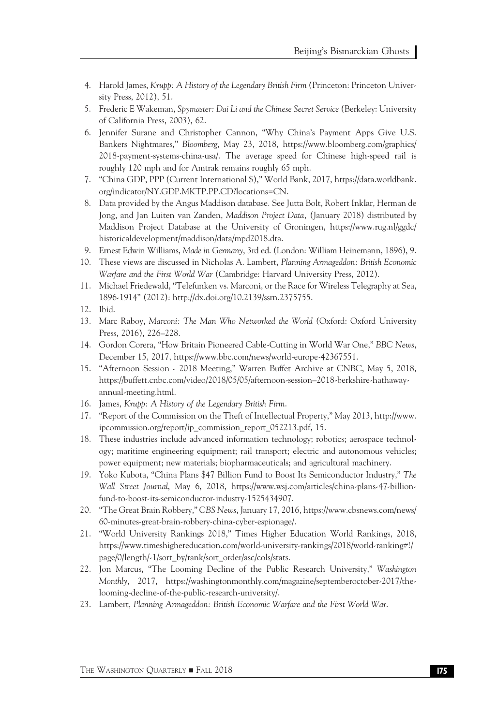- 4. Harold James, Krupp: A History of the Legendary British Firm (Princeton: Princeton University Press, 2012), 51.
- 5. Frederic E Wakeman, Spymaster: Dai Li and the Chinese Secret Service (Berkeley: University of California Press, 2003), 62.
- 6. Jennifer Surane and Christopher Cannon, "Why China's Payment Apps Give U.S. Bankers Nightmares," Bloomberg, May 23, 2018, https://www.bloomberg.com/graphics/ 2018-payment-systems-china-usa/. The average speed for Chinese high-speed rail is roughly 120 mph and for Amtrak remains roughly 65 mph.
- 7. "China GDP, PPP (Current International \$)," World Bank, 2017, https://data.worldbank. org/indicator/NY.GDP.MKTP.PP.CD?locations=CN.
- 8. Data provided by the Angus Maddison database. See Jutta Bolt, Robert Inklar, Herman de Jong, and Jan Luiten van Zanden, Maddison Project Data, (January 2018) distributed by Maddison Project Database at the University of Groningen, https://www.rug.nl/ggdc/ historicaldevelopment/maddison/data/mpd2018.dta.
- 9. Ernest Edwin Williams, Made in Germany, 3rd ed. (London: William Heinemann, 1896), 9.
- 10. These views are discussed in Nicholas A. Lambert, Planning Armageddon: British Economic Warfare and the First World War (Cambridge: Harvard University Press, 2012).
- 11. Michael Friedewald, "Telefunken vs. Marconi, or the Race for Wireless Telegraphy at Sea, 1896-1914" (2012): http://dx.doi.org/10.2139/ssrn.2375755.
- 12. Ibid.
- 13. Marc Raboy, Marconi: The Man Who Networked the World (Oxford: Oxford University Press, 2016), 226–228.
- 14. Gordon Corera, "How Britain Pioneered Cable-Cutting in World War One," BBC News, December 15, 2017, https://www.bbc.com/news/world-europe-42367551.
- 15. "Afternoon Session 2018 Meeting," Warren Buffet Archive at CNBC, May 5, 2018, https://buffett.cnbc.com/video/2018/05/05/afternoon-session–2018-berkshire-hathawayannual-meeting.html.
- 16. James, Krupp: A History of the Legendary British Firm.
- 17. "Report of the Commission on the Theft of Intellectual Property," May 2013, http://www. ipcommission.org/report/ip\_commission\_report\_052213.pdf, 15.
- 18. These industries include advanced information technology; robotics; aerospace technology; maritime engineering equipment; rail transport; electric and autonomous vehicles; power equipment; new materials; biopharmaceuticals; and agricultural machinery.
- 19. Yoko Kubota, "China Plans \$47 Billion Fund to Boost Its Semiconductor Industry," The Wall Street Journal, May 6, 2018, https://www.wsj.com/articles/china-plans-47-billionfund-to-boost-its-semiconductor-industry-1525434907.
- 20. "The Great Brain Robbery," CBS News, January 17, 2016, https://www.cbsnews.com/news/ 60-minutes-great-brain-robbery-china-cyber-espionage/.
- 21. "World University Rankings 2018," Times Higher Education World Rankings, 2018, https://www.timeshighereducation.com/world-university-rankings/2018/world-ranking#!/ page/0/length/-1/sort\_by/rank/sort\_order/asc/cols/stats.
- 22. Jon Marcus, "The Looming Decline of the Public Research University," Washington Monthly, 2017, https://washingtonmonthly.com/magazine/septemberoctober-2017/thelooming-decline-of-the-public-research-university/.
- 23. Lambert, Planning Armageddon: British Economic Warfare and the First World War.